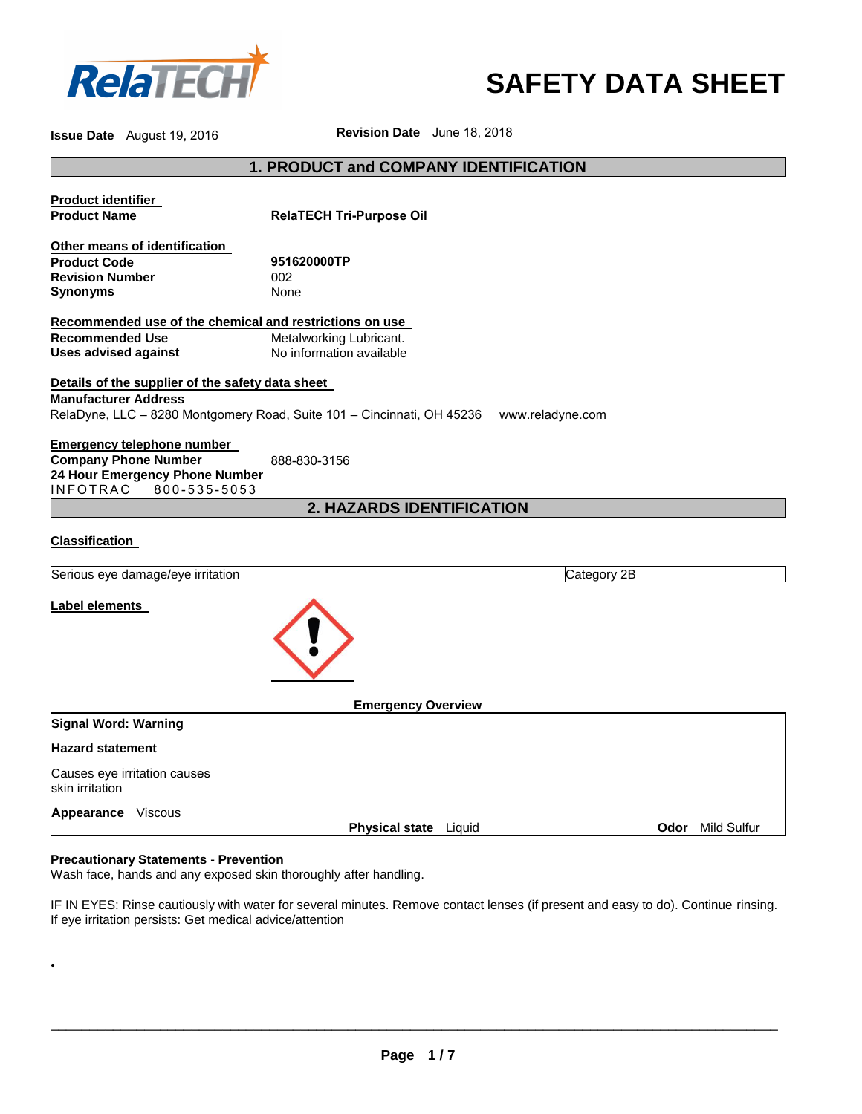

# **SAFETY DATA SHEET**

**Issue Date** August 19, 2016 **Revision Date** June 18, 2018

# **1. PRODUCT and COMPANY IDENTIFICATION**

| <b>Product identifier</b><br><b>Product Name</b>                                                                                      | <b>RelaTECH Tri-Purpose Oil</b>                                                            |                         |
|---------------------------------------------------------------------------------------------------------------------------------------|--------------------------------------------------------------------------------------------|-------------------------|
| Other means of identification<br><b>Product Code</b><br><b>Revision Number</b><br><b>Synonyms</b>                                     | 951620000TP<br>002<br>None                                                                 |                         |
| Recommended use of the chemical and restrictions on use                                                                               |                                                                                            |                         |
| <b>Recommended Use</b><br><b>Uses advised against</b>                                                                                 | Metalworking Lubricant.<br>No information available                                        |                         |
| Details of the supplier of the safety data sheet<br><b>Manufacturer Address</b>                                                       | RelaDyne, LLC - 8280 Montgomery Road, Suite 101 - Cincinnati, OH 45236<br>www.reladyne.com |                         |
| <b>Emergency telephone number</b><br><b>Company Phone Number</b><br>24 Hour Emergency Phone Number<br><b>INFOTRAC</b><br>800-535-5053 | 888-830-3156                                                                               |                         |
|                                                                                                                                       | 2. HAZARDS IDENTIFICATION                                                                  |                         |
| <b>Classification</b>                                                                                                                 |                                                                                            |                         |
| Serious eye damage/eye irritation                                                                                                     | Category 2B                                                                                |                         |
| Label elements                                                                                                                        |                                                                                            |                         |
|                                                                                                                                       | <b>Emergency Overview</b>                                                                  |                         |
| Signal Word: Warning                                                                                                                  |                                                                                            |                         |
| <b>Hazard statement</b>                                                                                                               |                                                                                            |                         |
| Causes eye irritation causes<br>skin irritation                                                                                       |                                                                                            |                         |
| Appearance Viscous                                                                                                                    | Physical state Liquid                                                                      | <b>Odor</b> Mild Sulfur |

### **Precautionary Statements - Prevention**

•

Wash face, hands and any exposed skin thoroughly after handling.

IF IN EYES: Rinse cautiously with water for several minutes. Remove contact lenses (if present and easy to do). Continue rinsing. If eye irritation persists: Get medical advice/attention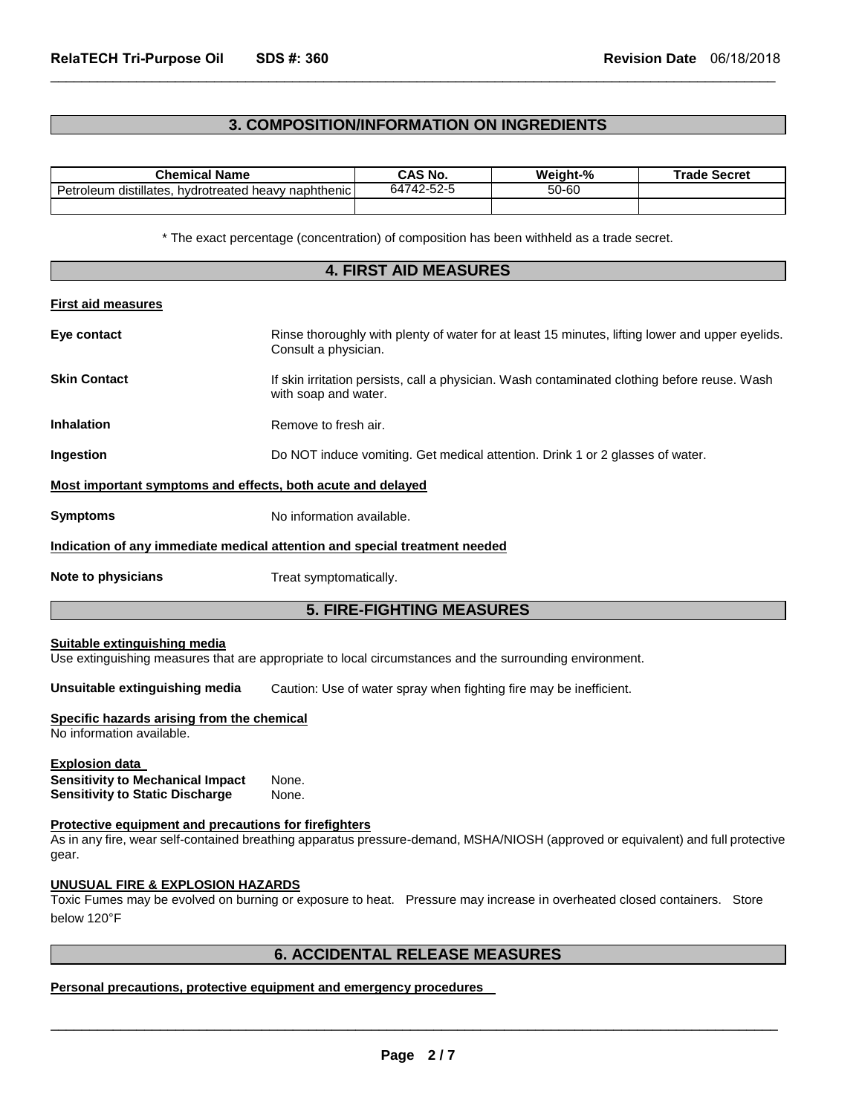# **3. COMPOSITION/INFORMATION ON INGREDIENTS**

 $\Box$ 

| <b>Chemical Name</b>                                         | CAS No.    | Weight-% | <b>Trade Secret</b> |
|--------------------------------------------------------------|------------|----------|---------------------|
| Petroleum<br>hvdrotreated heavy naphthenic l<br>distillates. | 64742-52-5 | 50-60    |                     |
|                                                              |            |          |                     |

\* The exact percentage (concentration) of composition has been withheld as a trade secret.

| <b>4. FIRST AID MEASURES</b>                                                                        |                                                                                                                                  |  |  |
|-----------------------------------------------------------------------------------------------------|----------------------------------------------------------------------------------------------------------------------------------|--|--|
| First aid measures                                                                                  |                                                                                                                                  |  |  |
| Eye contact                                                                                         | Rinse thoroughly with plenty of water for at least 15 minutes, lifting lower and upper eyelids.<br>Consult a physician.          |  |  |
| <b>Skin Contact</b>                                                                                 | If skin irritation persists, call a physician. Wash contaminated clothing before reuse. Wash<br>with soap and water.             |  |  |
| Inhalation                                                                                          | Remove to fresh air.                                                                                                             |  |  |
| Ingestion                                                                                           | Do NOT induce vomiting. Get medical attention. Drink 1 or 2 glasses of water.                                                    |  |  |
| Most important symptoms and effects, both acute and delayed                                         |                                                                                                                                  |  |  |
| <b>Symptoms</b>                                                                                     | No information available.                                                                                                        |  |  |
|                                                                                                     | Indication of any immediate medical attention and special treatment needed                                                       |  |  |
| Note to physicians                                                                                  | Treat symptomatically.                                                                                                           |  |  |
|                                                                                                     | <b>5. FIRE-FIGHTING MEASURES</b>                                                                                                 |  |  |
| Suitable extinguishing media                                                                        | Use extinguishing measures that are appropriate to local circumstances and the surrounding environment.                          |  |  |
| Unsuitable extinguishing media                                                                      | Caution: Use of water spray when fighting fire may be inefficient.                                                               |  |  |
| Specific hazards arising from the chemical<br>No information available.                             |                                                                                                                                  |  |  |
| Explosion data<br><b>Sensitivity to Mechanical Impact</b><br><b>Sensitivity to Static Discharge</b> | None.<br>None.                                                                                                                   |  |  |
| Protective equipment and precautions for firefighters<br>gear.                                      | As in any fire, wear self-contained breathing apparatus pressure-demand, MSHA/NIOSH (approved or equivalent) and full protective |  |  |
| UNUSUAL FIRE & EXPLOSION HAZARDS<br>below 120°F                                                     | Toxic Fumes may be evolved on burning or exposure to heat. Pressure may increase in overheated closed containers. Store          |  |  |
|                                                                                                     | --- <del>--</del> --- <del>-------</del>                                                                                         |  |  |

# **6. ACCIDENTAL RELEASE MEASURES**

# **Personal precautions, protective equipment and emergency procedures**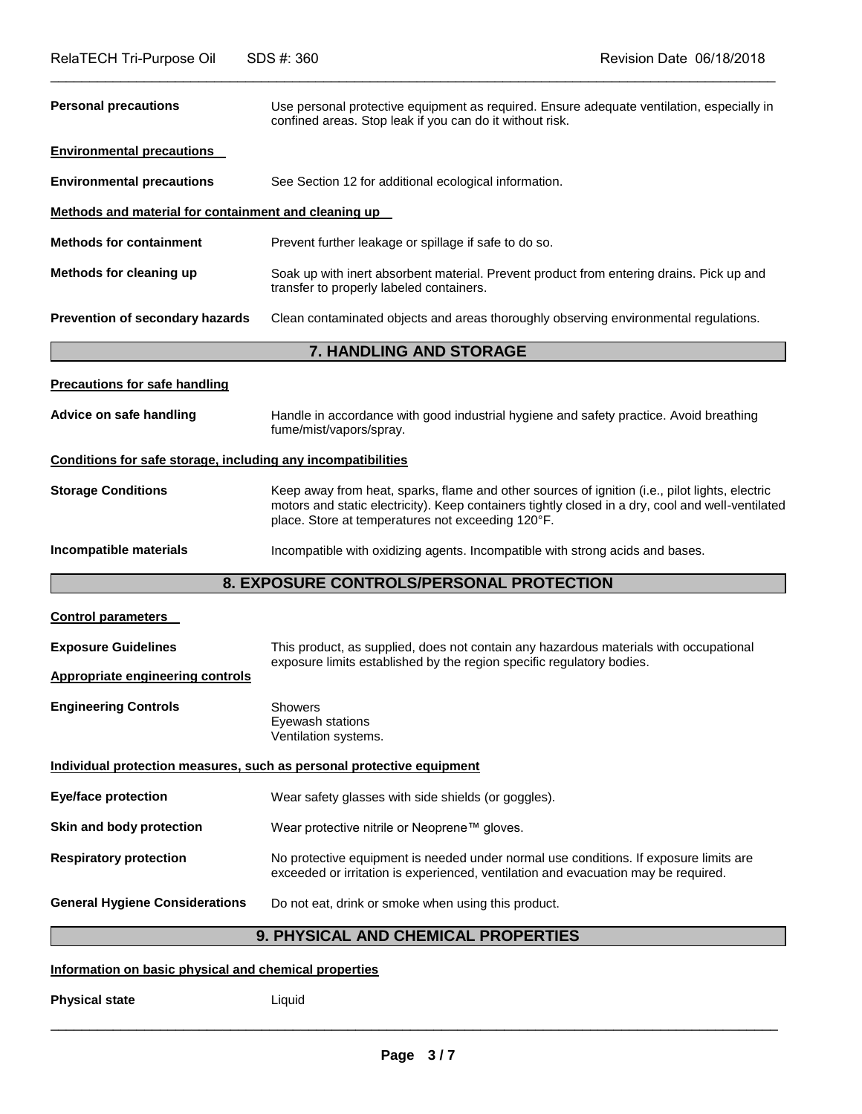| <b>Personal precautions</b>                                  | Use personal protective equipment as required. Ensure adequate ventilation, especially in<br>confined areas. Stop leak if you can do it without risk.                                                                                                    |
|--------------------------------------------------------------|----------------------------------------------------------------------------------------------------------------------------------------------------------------------------------------------------------------------------------------------------------|
| <b>Environmental precautions</b>                             |                                                                                                                                                                                                                                                          |
| <b>Environmental precautions</b>                             | See Section 12 for additional ecological information.                                                                                                                                                                                                    |
| Methods and material for containment and cleaning up         |                                                                                                                                                                                                                                                          |
| <b>Methods for containment</b>                               | Prevent further leakage or spillage if safe to do so.                                                                                                                                                                                                    |
| Methods for cleaning up                                      | Soak up with inert absorbent material. Prevent product from entering drains. Pick up and<br>transfer to properly labeled containers.                                                                                                                     |
| Prevention of secondary hazards                              | Clean contaminated objects and areas thoroughly observing environmental regulations.                                                                                                                                                                     |
|                                                              | 7. HANDLING AND STORAGE                                                                                                                                                                                                                                  |
| <b>Precautions for safe handling</b>                         |                                                                                                                                                                                                                                                          |
| Advice on safe handling                                      | Handle in accordance with good industrial hygiene and safety practice. Avoid breathing<br>fume/mist/vapors/spray.                                                                                                                                        |
| Conditions for safe storage, including any incompatibilities |                                                                                                                                                                                                                                                          |
| <b>Storage Conditions</b>                                    | Keep away from heat, sparks, flame and other sources of ignition (i.e., pilot lights, electric<br>motors and static electricity). Keep containers tightly closed in a dry, cool and well-ventilated<br>place. Store at temperatures not exceeding 120°F. |
| Incompatible materials                                       | Incompatible with oxidizing agents. Incompatible with strong acids and bases.                                                                                                                                                                            |
|                                                              | 8. EXPOSURE CONTROLS/PERSONAL PROTECTION                                                                                                                                                                                                                 |
| <b>Control parameters</b>                                    |                                                                                                                                                                                                                                                          |
| <b>Exposure Guidelines</b>                                   | This product, as supplied, does not contain any hazardous materials with occupational                                                                                                                                                                    |
| Appropriate engineering controls                             | exposure limits established by the region specific regulatory bodies.                                                                                                                                                                                    |
| <b>Engineering Controls</b>                                  | <b>Showers</b><br>Eyewash stations<br>Ventilation systems.                                                                                                                                                                                               |
|                                                              | Individual protection measures, such as personal protective equipment                                                                                                                                                                                    |
|                                                              |                                                                                                                                                                                                                                                          |

**Eye/face protection Wear safety glasses with side shields (or goggles).** 

**Skin and body protection** Wear protective nitrile or Neoprene™ gloves.

**Respiratory protection** No protective equipment is needed under normal use conditions. If exposure limits are exceeded or irritation is experienced, ventilation and evacuation may be required.

**General Hygiene Considerations** Do not eat, drink or smoke when using this product.

# **9. PHYSICAL AND CHEMICAL PROPERTIES**

### **Information on basic physical and chemical properties**

**Physical state** Liquid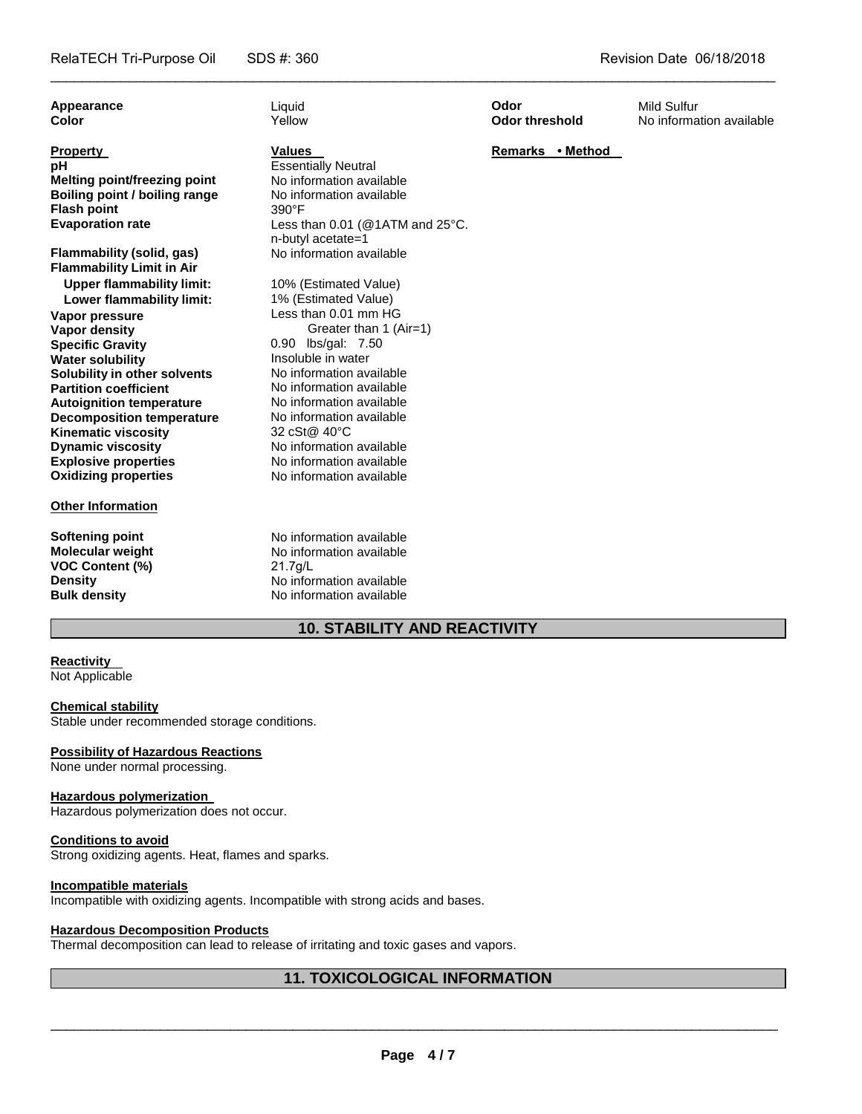| Appearance<br><b>Color</b>                                                                                                                                                                                                                                                                                                                                                                                            | Liguid<br>Yellow                                                                                                                                                                                                                                                                                                                                                | Odor<br>Odor threshold | <b>Mild Sulfur</b><br>No information available |
|-----------------------------------------------------------------------------------------------------------------------------------------------------------------------------------------------------------------------------------------------------------------------------------------------------------------------------------------------------------------------------------------------------------------------|-----------------------------------------------------------------------------------------------------------------------------------------------------------------------------------------------------------------------------------------------------------------------------------------------------------------------------------------------------------------|------------------------|------------------------------------------------|
| <b>Property</b><br>рH<br><b>Melting point/freezing point</b><br>Boiling point / boiling range<br><b>Flash point</b><br><b>Evaporation rate</b>                                                                                                                                                                                                                                                                        | <b>Values</b><br><b>Essentially Neutral</b><br>No information available<br>No information available<br>$390^\circ F$<br>Less than $0.01$ (@1ATM and $25^{\circ}$ C.<br>n-butyl acetate=1                                                                                                                                                                        | Remarks • Method       |                                                |
| Flammability (solid, gas)<br><b>Flammability Limit in Air</b>                                                                                                                                                                                                                                                                                                                                                         | No information available                                                                                                                                                                                                                                                                                                                                        |                        |                                                |
| <b>Upper flammability limit:</b><br>Lower flammability limit:<br>Vapor pressure<br>Vapor density<br><b>Specific Gravity</b><br><b>Water solubility</b><br>Solubility in other solvents<br><b>Partition coefficient</b><br><b>Autoignition temperature</b><br><b>Decomposition temperature</b><br><b>Kinematic viscosity</b><br><b>Dynamic viscosity</b><br><b>Explosive properties</b><br><b>Oxidizing properties</b> | 10% (Estimated Value)<br>1% (Estimated Value)<br>Less than 0.01 mm HG<br>Greater than 1 (Air=1)<br>0.90 lbs/gal: 7.50<br>Insoluble in water<br>No information available<br>No information available<br>No information available<br>No information available<br>32 cSt@ 40°C<br>No information available<br>No information available<br>No information available |                        |                                                |
| <b>Other Information</b>                                                                                                                                                                                                                                                                                                                                                                                              |                                                                                                                                                                                                                                                                                                                                                                 |                        |                                                |
| <b>Softening point</b><br><b>Molecular weight</b><br><b>VOC Content (%)</b><br><b>Density</b><br><b>Bulk density</b>                                                                                                                                                                                                                                                                                                  | No information available<br>No information available<br>$21.7$ g/L<br>No information available<br>No information available                                                                                                                                                                                                                                      |                        |                                                |

\_\_\_\_\_\_\_\_\_\_\_\_\_\_\_\_\_\_\_\_\_\_\_\_\_\_\_\_\_\_\_\_\_\_\_\_\_\_\_\_\_\_\_\_\_\_\_\_\_\_\_\_\_\_\_\_\_\_\_\_\_\_\_\_\_\_\_\_\_\_\_\_\_\_\_\_\_\_\_\_\_\_\_\_\_\_\_\_\_\_\_\_\_

# **10. STABILITY AND REACTIVITY**

# **Reactivity**

Not Applicable

### **Chemical stability**

Stable under recommended storage conditions.

# **Possibility of Hazardous Reactions**

None under normal processing.

# **Hazardous polymerization**

Hazardous polymerization does not occur.

#### **Conditions to avoid**

Strong oxidizing agents. Heat, flames and sparks.

### **Incompatible materials**

Incompatible with oxidizing agents. Incompatible with strong acids and bases.

## **Hazardous Decomposition Products**

Thermal decomposition can lead to release of irritating and toxic gases and vapors.

# **11. TOXICOLOGICAL INFORMATION**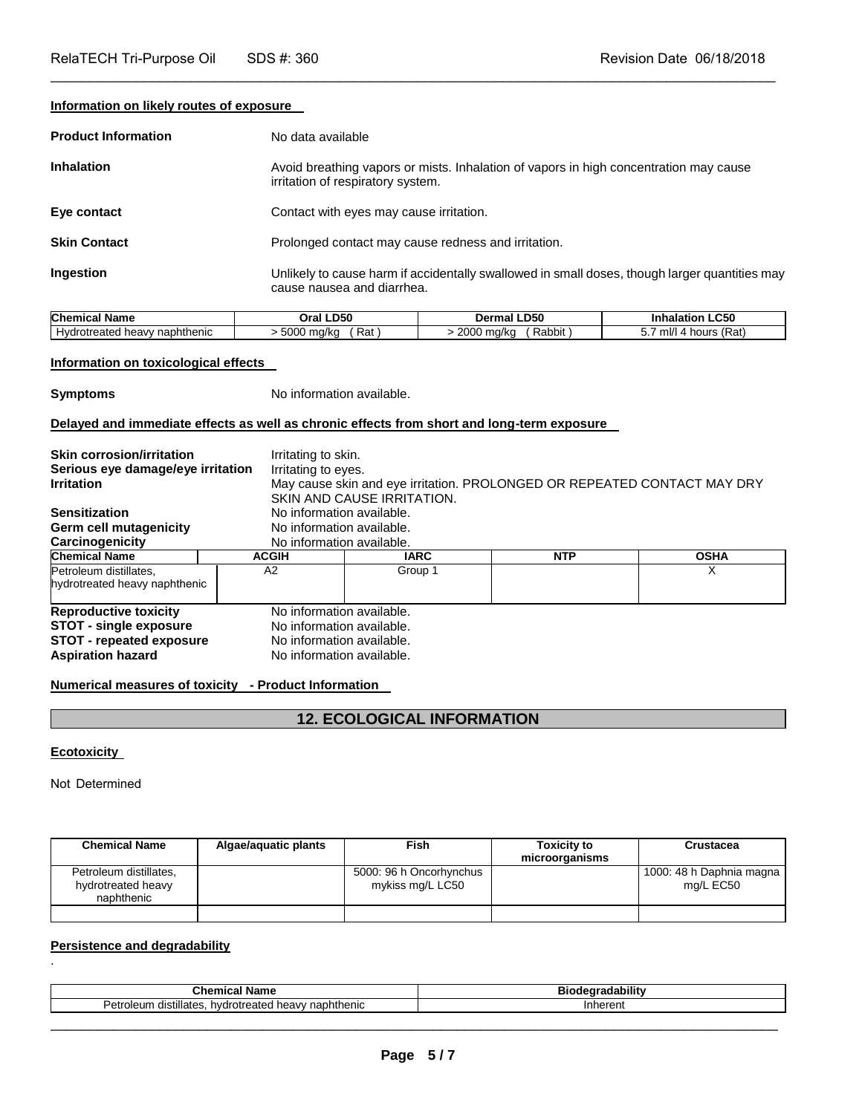**Information on likely routes of exposure** 

| <b>Product Information</b> | No data available                                                                                                           |
|----------------------------|-----------------------------------------------------------------------------------------------------------------------------|
| <b>Inhalation</b>          | Avoid breathing vapors or mists. Inhalation of vapors in high concentration may cause<br>irritation of respiratory system.  |
| Eye contact                | Contact with eyes may cause irritation.                                                                                     |
| <b>Skin Contact</b>        | Prolonged contact may cause redness and irritation.                                                                         |
| Ingestion                  | Unlikely to cause harm if accidentally swallowed in small doses, though larger quantities may<br>cause nausea and diarrhea. |

\_\_\_\_\_\_\_\_\_\_\_\_\_\_\_\_\_\_\_\_\_\_\_\_\_\_\_\_\_\_\_\_\_\_\_\_\_\_\_\_\_\_\_\_\_\_\_\_\_\_\_\_\_\_\_\_\_\_\_\_\_\_\_\_\_\_\_\_\_\_\_\_\_\_\_\_\_\_\_\_\_\_\_\_\_\_\_\_\_\_\_\_\_

| <b>Chemical Name</b>                       | <b>LD50</b>          | -D50                              | <b>LC50</b>                    |
|--------------------------------------------|----------------------|-----------------------------------|--------------------------------|
|                                            | Oral                 | Dermal                            | Inhalation                     |
| naphthenic<br><b>Hydrotreated</b><br>heavv | Rat<br>5000<br>ma/ka | 0000<br>Rabbit<br>∣ ma∕ko<br>2000 | 'Rat)<br>ml/l<br>hours (<br>J. |

### **Information on toxicological effects**

**Symptoms** No information available.

### **Delayed and immediate effects as well as chronic effects from short and long-term exposure**

| <b>Skin corrosion/irritation</b><br>Serious eye damage/eye irritation<br><b>Irritation</b><br><b>Sensitization</b><br>Germ cell mutagenicity<br>Carcinogenicity | Irritating to skin.<br>Irritating to eyes.<br>May cause skin and eye irritation. PROLONGED OR REPEATED CONTACT MAY DRY<br>SKIN AND CAUSE IRRITATION.<br>No information available.<br>No information available.<br>No information available. |             |            |             |
|-----------------------------------------------------------------------------------------------------------------------------------------------------------------|---------------------------------------------------------------------------------------------------------------------------------------------------------------------------------------------------------------------------------------------|-------------|------------|-------------|
| <b>Chemical Name</b>                                                                                                                                            | <b>ACGIH</b>                                                                                                                                                                                                                                | <b>IARC</b> | <b>NTP</b> | <b>OSHA</b> |
| Petroleum distillates.<br>hydrotreated heavy naphthenic                                                                                                         | A2                                                                                                                                                                                                                                          | Group 1     |            | X           |
| <b>Reproductive toxicity</b><br><b>STOT - single exposure</b><br><b>STOT</b> - repeated exposure<br><b>Aspiration hazard</b>                                    | No information available.<br>No information available.<br>No information available.<br>No information available.                                                                                                                            |             |            |             |

### **Numerical measures of toxicity - Product Information**

# **12. ECOLOGICAL INFORMATION**

**Ecotoxicity** 

.

Not Determined

| <b>Chemical Name</b>                                       | Algae/aguatic plants | Fish                                        | <b>Toxicity to</b><br>microorganisms | Crustacea                             |
|------------------------------------------------------------|----------------------|---------------------------------------------|--------------------------------------|---------------------------------------|
| Petroleum distillates,<br>hydrotreated heavy<br>naphthenic |                      | 5000: 96 h Oncorhynchus<br>mykiss mg/L LC50 |                                      | 1000: 48 h Daphnia magna<br>mg/L EC50 |
|                                                            |                      |                                             |                                      |                                       |

# **Persistence and degradability**

| <b>Chemica</b><br>Name                                                        | <br>udabilit <sup>,</sup><br>ы |
|-------------------------------------------------------------------------------|--------------------------------|
| ⊃etrเ<br>naphthenic<br>distillates<br>hvdrotreated.<br>۱۱m ובוח״<br>⊿ neavv r | n                              |
|                                                                               |                                |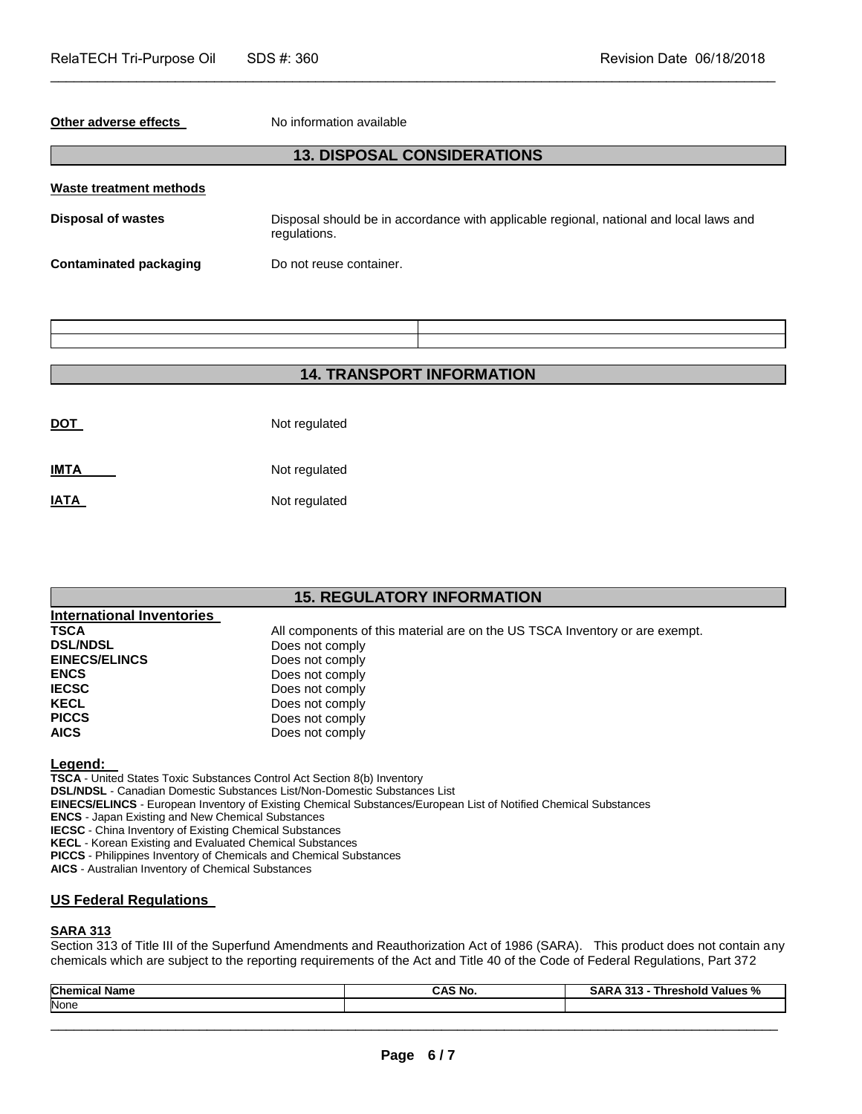#### **Other adverse effects** No information available

# **13. DISPOSAL CONSIDERATIONS**

\_\_\_\_\_\_\_\_\_\_\_\_\_\_\_\_\_\_\_\_\_\_\_\_\_\_\_\_\_\_\_\_\_\_\_\_\_\_\_\_\_\_\_\_\_\_\_\_\_\_\_\_\_\_\_\_\_\_\_\_\_\_\_\_\_\_\_\_\_\_\_\_\_\_\_\_\_\_\_\_\_\_\_\_\_\_\_\_\_\_\_\_\_

| Waste treatment methods |                                                                                                        |
|-------------------------|--------------------------------------------------------------------------------------------------------|
| Disposal of wastes      | Disposal should be in accordance with applicable regional, national and local laws and<br>regulations. |
| Contaminated packaging  | Do not reuse container.                                                                                |

# **14. TRANSPORT INFORMATION**

| <b>DOT</b> | Not regulated |
|------------|---------------|
| IMTA       | Not regulated |
| IATA       | Not regulated |

# **15. REGULATORY INFORMATION**

| <b>International Inventories</b> |                                                                             |
|----------------------------------|-----------------------------------------------------------------------------|
| <b>TSCA</b>                      | All components of this material are on the US TSCA Inventory or are exempt. |
| <b>DSL/NDSL</b>                  | Does not comply                                                             |
| <b>EINECS/ELINCS</b>             | Does not comply                                                             |
| <b>ENCS</b>                      | Does not comply                                                             |
| <b>IECSC</b>                     | Does not comply                                                             |
| <b>KECL</b>                      | Does not comply                                                             |
| <b>PICCS</b>                     | Does not comply                                                             |
| <b>AICS</b>                      | Does not comply                                                             |

### **Legend:**

**TSCA** - United States Toxic Substances Control Act Section 8(b) Inventory **DSL/NDSL** - Canadian Domestic Substances List/Non-Domestic Substances List **EINECS/ELINCS** - European Inventory of Existing Chemical Substances/European List of Notified Chemical Substances **ENCS** - Japan Existing and New Chemical Substances **IECSC** - China Inventory of Existing Chemical Substances **KECL** - Korean Existing and Evaluated Chemical Substances **PICCS** - Philippines Inventory of Chemicals and Chemical Substances

**AICS** - Australian Inventory of Chemical Substances

### **US Federal Regulations**

#### **SARA 313**

Section 313 of Title III of the Superfund Amendments and Reauthorization Act of 1986 (SARA). This product does not contain any chemicals which are subject to the reporting requirements of the Act and Title 40 of the Code of Federal Regulations, Part 372

| Chen<br>Nam⊾ | CAS No. | $\mathbf{a}$<br>Ω.<br>'alues<br>ഫല<br>nre:<br>7٥ |
|--------------|---------|--------------------------------------------------|
| None         |         |                                                  |
|              |         |                                                  |